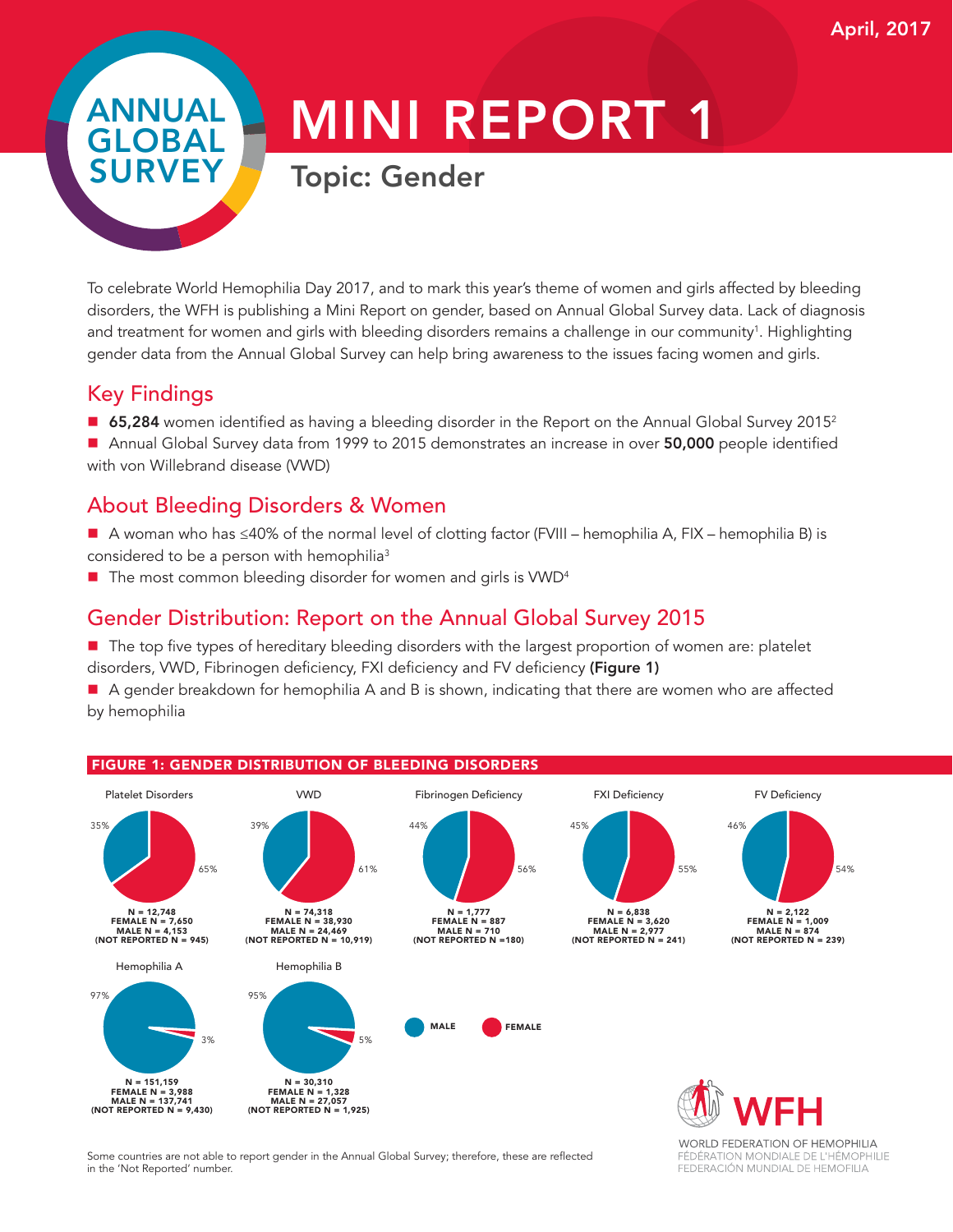FÉDÉRATION MONDIALE DE L'HÉMOPHILIE FEDERACIÓN MUNDIAL DE HEMOFILIA

## ANNUAL GLOBAL SURVEY

# MINI REPORT 1

### Topic: Gender

To celebrate World Hemophilia Day 2017, and to mark this year's theme of women and girls affected by bleeding disorders, the WFH is publishing a Mini Report on gender, based on Annual Global Survey data. Lack of diagnosis and treatment for women and girls with bleeding disorders remains a challenge in our community<sup>1</sup>. Highlighting gender data from the Annual Global Survey can help bring awareness to the issues facing women and girls.

#### Key Findings

- 65,284 women identified as having a bleeding disorder in the Report on the Annual Global Survey 2015<sup>2</sup>
- Annual Global Survey data from 1999 to 2015 demonstrates an increase in over 50,000 people identified with von Willebrand disease (VWD)

#### About Bleeding Disorders & Women

- A woman who has ≤40% of the normal level of clotting factor (FVIII hemophilia A, FIX hemophilia B) is considered to be a person with hemophilia<sup>3</sup>
- $\blacksquare$  The most common bleeding disorder for women and girls is VWD<sup>4</sup>

#### Gender Distribution: Report on the Annual Global Survey 2015

■ The top five types of hereditary bleeding disorders with the largest proportion of women are: platelet disorders, VWD, Fibrinogen deficiency, FXI deficiency and FV deficiency (Figure 1)

A gender breakdown for hemophilia A and B is shown, indicating that there are women who are affected by hemophilia



Some countries are not able to report gender in the Annual Global Survey; therefore, these are reflected in the 'Not Reported' number.